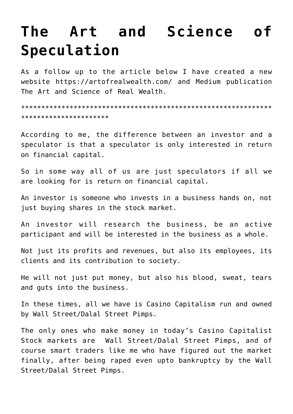# **[The Art and Science of](https://aryadharma.world/articles/the-art-and-science-of-speculation/) [Speculation](https://aryadharma.world/articles/the-art-and-science-of-speculation/)**

As a follow up to the article below I have created a new website <https://artofrealwealth.com/> and Medium publication [The Art and Science of Real Wealth.](https://medium.com/the-art-and-science-of-real-wealth)

\*\*\*\*\*\*\*\*\*\*\*\*\*\*\*\*\*\*\*\*\*\*\*\*\*\*\*\*\*\*\*\*\*\*\*\*\*\*\*\*\*\*\*\*\*\*\*\*\*\*\*\*\*\*\*\*\*\*\*\*\*\* \*\*\*\*\*\*\*\*\*\*\*\*\*\*\*\*\*\*\*\*\*\*

According to me, the difference between an investor and a speculator is that a speculator is only interested in return on financial capital.

So in some way all of us are just speculators if all we are looking for is return on financial capital.

An investor is someone who invests in a business hands on, not just buying shares in the stock market.

An investor will research the business, be an active participant and will be interested in the business as a whole.

Not just its profits and revenues, but also its employees, its clients and its contribution to society.

He will not just put money, but also his blood, sweat, tears and guts into the business.

In these times, all we have is Casino Capitalism run and owned by [Wall Street/Dalal Street Pimps.](https://aryadharma.world/fukus/wallstreetpimps/)

The only ones who make money in today's Casino Capitalist Stock markets are [Wall Street/Dalal Street Pimps,](https://aryadharma.world/fukus/wallstreetpimps/) and of course smart traders like me who have figured out the market finally, after being raped even upto bankruptcy by the [Wall](https://aryadharma.world/fukus/wallstreetpimps/) [Street/Dalal Street Pimps.](https://aryadharma.world/fukus/wallstreetpimps/)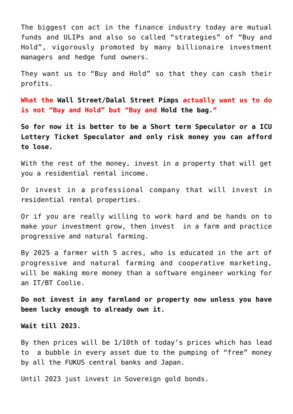The biggest con act in the finance industry today are mutual funds and ULIPs and also so called "strategies" of "Buy and Hold", vigorously promoted by many billionaire investment managers and hedge fund owners.

They want us to "Buy and Hold" so that they can cash their profits.

**What the [Wall Street/Dalal Street Pimps](https://aryadharma.world/fukus/wallstreetpimps/) actually want us to do is not "Buy and Hold" but "Buy and [Hold the bag."](http://idioms.thefreedictionary.com/hold+the+bag)**

**So for now it is better to be a Short term Speculator or a ICU Lottery Ticket Speculator and only risk money you can afford to lose.**

With the rest of the money, invest in a property that will get you a residential rental income.

Or invest in a professional company that will invest in residential rental properties.

Or if you are really willing to work hard and be hands on to make your investment grow, then invest in a farm and practice progressive and natural farming.

By 2025 a farmer with 5 acres, who is educated in the art of progressive and natural farming and cooperative marketing, will be making more money than a software engineer working for an IT/BT Coolie.

**Do not invest in any farmland or property now unless you have been lucky enough to already own it.**

**Wait till 2023.**

By then prices will be 1/10th of today's prices which has lead to a bubble in every asset due to the pumping of "free" money by all the [FUKUS](http://aryadharma.world/fukus/) central banks and Japan.

Until 2023 just invest in Sovereign gold bonds.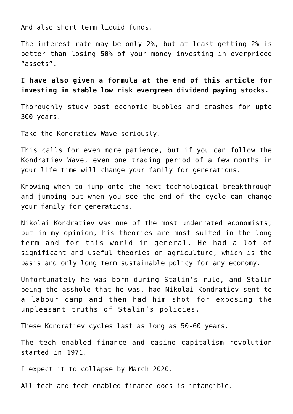And also short term liquid funds.

The interest rate may be only 2%, but at least getting 2% is better than losing 50% of your money investing in overpriced "assets".

**I have also given a formula at the end of this article for investing in stable low risk evergreen dividend paying stocks.**

Thoroughly study past economic bubbles and crashes for upto 300 years.

Take the [Kondratiev Wave](http://en.wikipedia.org/wiki/Kondratiev_wave) seriously.

This calls for even more patience, but if you can follow the [Kondratiev Wave](http://en.wikipedia.org/wiki/Kondratiev_wave), even one trading period of a few months in your life time will change your family for generations.

Knowing when to jump onto the next technological breakthrough and jumping out when you see the end of the cycle can change your family for generations.

[Nikolai Kondratiev](https://en.wikipedia.org/wiki/Nikolai_Kondratiev) was one of the most underrated economists, but in my opinion, his theories are most suited in the long term and for this world in general. He had a lot of significant and useful theories on agriculture, which is the basis and only long term sustainable policy for any economy.

Unfortunately he was born during [Stalin's](http://en.wikipedia.org/wiki/Joseph_Stalin) rule, and [Stalin](http://en.wikipedia.org/wiki/Joseph_Stalin) being the asshole that he was, had [Nikolai Kondratiev](https://en.wikipedia.org/wiki/Nikolai_Kondratiev) sent to a labour camp and then had him shot for exposing the unpleasant truths of Stalin's policies.

These Kondratiev cycles last as long as 50-60 years.

The tech enabled finance and casino capitalism revolution started in 1971.

I expect it to collapse by March 2020.

All tech and tech enabled finance does is intangible.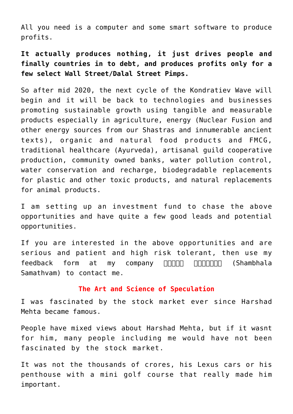All you need is a computer and some smart software to produce profits.

**It actually produces nothing, it just drives people and finally countries in to debt, and produces profits only for a few select [Wall Street/Dalal Street Pimps.](http://aryadharma.world/fukus/wallstreetpimps/)**

So after mid 2020, the next cycle of the [Kondratiev Wave](http://en.wikipedia.org/wiki/Kondratiev_wave) will begin and it will be back to technologies and businesses promoting sustainable growth using tangible and measurable products especially in agriculture, energy ([Nuclear Fusion](http://aryadharma.world/articles/nuclear-fusion-the-energy-of-sun/) and other energy sources from our [Shastras](https://en.wikipedia.org/wiki/Shastra) and innumerable [ancient](https://en.wikipedia.org/wiki/Hindu_texts) [texts\)](https://en.wikipedia.org/wiki/Hindu_texts), organic and natural food products and [FMCG,](https://en.wikipedia.org/wiki/Fast-moving_consumer_goods) [traditional healthcare \(Ayurveda\),](https://en.wikipedia.org/wiki/Ayurveda) artisanal guild cooperative production, community owned banks, water pollution control, water conservation and recharge, biodegradable replacements for plastic and other toxic products, and natural replacements for animal products.

I am setting up an investment fund to chase the above opportunities and have quite a few good leads and potential opportunities.

If you are interested in the above opportunities and are serious and patient and high risk tolerant, then use my feedback form at my company **FIFIELE FIFIELE (Shambhala** [Samathvam\)](http://www.shambhala.global) to contact me.

## **The Art and Science of Speculation**

I was fascinated by the stock market ever since [Harshad](http://en.wikipedia.org/wiki/Harshad_Mehta) [Mehta](http://en.wikipedia.org/wiki/Harshad_Mehta) became famous.

People have mixed views about [Harshad Mehta,](http://en.wikipedia.org/wiki/Harshad_Mehta) but if it wasnt for him, many people including me would have not been fascinated by the stock market.

It was not the thousands of crores, his Lexus cars or his penthouse with a mini golf course that really made him important.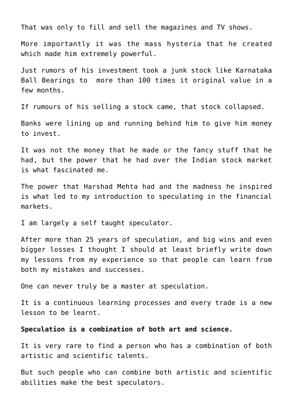That was only to fill and sell the magazines and TV shows.

More importantly it was the mass hysteria that he created which made him extremely powerful.

Just rumors of his investment took a junk stock like [Karnataka](http://indianinvestoroftheyear.blogspot.in/2008/01/market-musings-stock-tip-of-day.html) [Ball Bearings](http://indianinvestoroftheyear.blogspot.in/2008/01/market-musings-stock-tip-of-day.html) to more than 100 times it original value in a few months.

If rumours of his selling a stock came, that stock collapsed.

Banks were lining up and running behind him to give him money to invest.

It was not the money that he made or the fancy stuff that he had, but the power that he had over the Indian stock market is what fascinated me.

The power that [Harshad Mehta](http://en.wikipedia.org/wiki/Harshad_Mehta) had and the madness he inspired is what led to my introduction to speculating in the financial markets.

I am largely a self taught speculator.

After more than 25 years of speculation, and big wins and even bigger losses I thought I should at least briefly write down my lessons from my experience so that people can learn from both my mistakes and successes.

One can never truly be a master at speculation.

It is a continuous learning processes and every trade is a new lesson to be learnt.

## **Speculation is a combination of both art and science.**

It is very rare to find a person who has a combination of both artistic and scientific talents.

But such people who can combine both artistic and scientific abilities make the best speculators.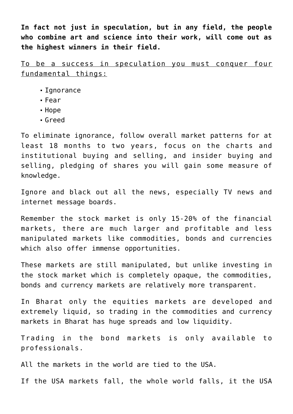**In fact not just in speculation, but in any field, the people who combine art and science into their work, will come out as the highest winners in their field.**

To be a success in speculation you must conquer four fundamental things:

- **I**gnorance
- Fear
- Hope
- Greed

To eliminate ignorance, follow overall market patterns for at least 18 months to two years, focus on the charts and institutional buying and selling, and insider buying and selling, pledging of shares you will gain some measure of knowledge.

Ignore and black out all the news, especially TV news and internet message boards.

Remember the stock market is only 15-20% of the financial markets, there are much larger and profitable and less manipulated markets like commodities, bonds and currencies which also offer immense opportunities.

These markets are still manipulated, but unlike investing in the stock market which is completely opaque, the commodities, bonds and currency markets are relatively more transparent.

In [Bharat](http://aryadharma.world/bharat/) only the equities markets are developed and extremely liquid, so trading in the commodities and currency markets in [Bharat](http://aryadharma.world/bharat/) has huge spreads and low liquidity.

Trading in the bond markets is only available to professionals.

All the markets in the world are tied to the USA.

If the USA markets fall, the whole world falls, it the USA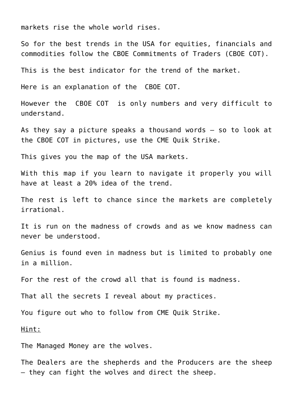markets rise the whole world rises.

So for the best trends in the USA for equities, financials and commodities follow the [CBOE Commitments of Traders \(CBOE COT\)](http://www.cftc.gov/MarketReports/CommitmentsofTraders/index.htm).

This is the best indicator for the trend of the market.

Here is an [explanation](http://www.cftc.gov/idc/groups/public/@commitmentsoftraders/documents/file/tfmexplanatorynotes.pdf) of the [CBOE COT](http://www.cftc.gov/MarketReports/CommitmentsofTraders/index.htm).

However the [CBOE COT](http://www.cftc.gov/MarketReports/CommitmentsofTraders/index.htm) is only numbers and very difficult to understand.

As they say a picture speaks a thousand words – so to look at the [CBOE COT](http://www.cftc.gov/MarketReports/CommitmentsofTraders/index.htm) in pictures, use the [CME Quik Strike.](http://www.cmegroup.com/tools-information/quikstrike/commitment-of-traders-agricultural.html)

This gives you the map of the USA markets.

With this map if you learn to navigate it properly you will have at least a 20% idea of the trend.

The rest is left to chance since the markets are completely irrational.

It is run on the madness of crowds and as we know madness can never be understood.

Genius is found even in madness but is limited to probably one in a million.

For the rest of the crowd all that is found is madness.

That all the secrets I reveal about my practices.

You figure out who to follow from [CME Quik Strike.](http://www.cmegroup.com/tools-information/quikstrike/commitment-of-traders-agricultural.html)

Hint:

The Managed Money are the wolves.

The Dealers are the shepherds and the Producers are the sheep – they can fight the wolves and direct the sheep.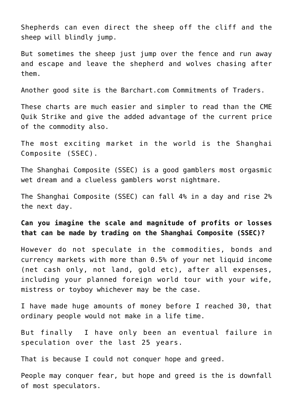Shepherds can even direct the sheep off the cliff and the sheep will blindly jump.

But sometimes the sheep just jump over the fence and run away and escape and leave the shepherd and wolves chasing after them.

Another good site is the [Barchart.com Commitments of Traders.](https://www.barchart.com/futures/commitment-of-traders) 

These charts are much easier and simpler to read than the [CME](http://www.cmegroup.com/tools-information/quikstrike/commitment-of-traders-agricultural.html) [Quik Strike](http://www.cmegroup.com/tools-information/quikstrike/commitment-of-traders-agricultural.html) and give the added advantage of the current price of the commodity also.

The most exciting market in the world is the [Shanghai](https://in.investing.com/indices/shanghai-composite) [Composite](https://in.investing.com/indices/shanghai-composite) (SSEC).

The [Shanghai Composite](https://in.investing.com/indices/shanghai-composite) (SSEC) is a good gamblers most orgasmic wet dream and a clueless gamblers worst nightmare.

The [Shanghai Composite](https://in.investing.com/indices/shanghai-composite) (SSEC) can fall 4% in a day and rise 2% the next day.

**Can you imagine the scale and magnitude of profits or losses that can be made by trading on the [Shanghai Composite](https://in.investing.com/indices/shanghai-composite) (SSEC)?** 

However do not speculate in the commodities, bonds and currency markets with more than 0.5% of your net liquid income (net cash only, not land, gold etc), after all expenses, including your planned foreign world tour with your wife, mistress or toyboy whichever may be the case.

I have made huge amounts of money before I reached 30, that ordinary people would not make in a life time.

But finally I have only been an eventual failure in speculation over the last 25 years.

That is because I could not conquer hope and greed.

People may conquer fear, but hope and greed is the is downfall of most speculators.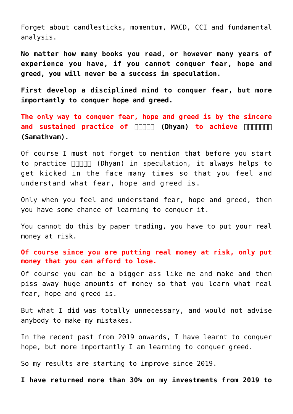Forget about [candlesticks](http://en.wikipedia.org/wiki/Candlestick_chart), [momentum](http://www.investopedia.com/terms/m/momentum.asp), [MACD,](http://www.investopedia.com/terms/m/macd.asp) [CCI](http://www.investopedia.com/terms/c/commoditychannelindex.asp) and [fundamental](http://en.wikipedia.org/wiki/Fundamental_analysis) [analysis.](http://en.wikipedia.org/wiki/Fundamental_analysis)

**No matter how many books you read, or however many years of experience you have, if you cannot conquer fear, hope and greed, you will never be a success in speculation.**

**First develop a disciplined mind to conquer fear, but more importantly to conquer hope and greed.**

**The only way to conquer fear, hope and greed is by the sincere and sustained practice of <b>FIFIELD** (Dhyan) to achieve **RIFIELD [\(Samathvam\).](https://aryadharma.world/vedasandupanishads/samathvam-is-yoga/)**

Of course I must not forget to mention that before you start to practice **[ध्यान](https://aryadharma.world/dhyan/)** [\(Dhyan\)](https://aryadharma.world/dhyan/) in speculation, it always helps to get kicked in the face many times so that you feel and understand what fear, hope and greed is.

Only when you feel and understand fear, hope and greed, then you have some chance of learning to conquer it.

You cannot do this by paper trading, you have to put your real money at risk.

**Of course since you are putting real money at risk, only put money that you can afford to lose.**

Of course you can be a bigger ass like me and make and then piss away huge amounts of money so that you learn what real fear, hope and greed is.

But what I did was totally unnecessary, and would not advise anybody to make my mistakes.

In the recent past from 2019 onwards, I have learnt to conquer hope, but more importantly I am learning to conquer greed.

So my results are starting to improve since 2019.

**I have returned more than 30% on my investments from 2019 to**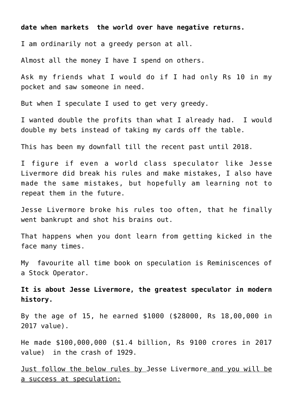**date when markets the world over have negative returns.**

I am ordinarily not a greedy person at all.

Almost all the money I have I spend on others.

Ask my friends what I would do if I had only Rs 10 in my pocket and saw someone in need.

But when I speculate I used to get very greedy.

I wanted double the profits than what I already had. I would double my bets instead of taking my cards off the table.

This has been my downfall till the recent past until 2018.

I figure if even a world class speculator like [Jesse](https://en.wikipedia.org/wiki/Jesse_Lauriston_Livermore) [Livermore](https://en.wikipedia.org/wiki/Jesse_Lauriston_Livermore) did break his rules and make mistakes, I also have made the same mistakes, but hopefully am learning not to repeat them in the future.

[Jesse Livermore](https://en.wikipedia.org/wiki/Jesse_Lauriston_Livermore) broke his rules too often, that he finally went bankrupt and shot his brains out.

That happens when you dont learn from getting kicked in the face many times.

My favourite all time book on speculation is [Reminiscences of](https://www.amazon.in/Reminiscences-Stock-Operator-Edwin-Lefevre/dp/8126518626) [a Stock Operator.](https://www.amazon.in/Reminiscences-Stock-Operator-Edwin-Lefevre/dp/8126518626)

**It is about [Jesse Livermore,](https://en.wikipedia.org/wiki/Jesse_Lauriston_Livermore) the greatest speculator in modern history.**

By the age of 15, he earned \$1000 (\$28000, Rs 18,00,000 in 2017 value).

He made \$100,000,000 (\$1.4 billion, Rs 9100 crores in 2017 value) in the [crash of 1929.](https://en.wikipedia.org/wiki/Wall_Street_Crash_of_1929)

Just follow the below rules by [Jesse Livermore](https://en.wikipedia.org/wiki/Jesse_Lauriston_Livermore) and you will be a success at speculation: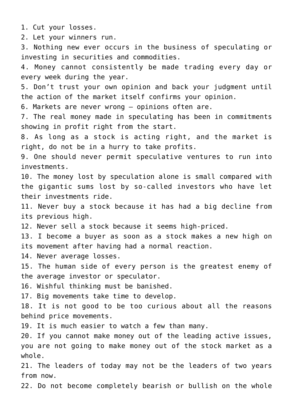1. Cut your losses.

2. Let your winners run.

3. Nothing new ever occurs in the business of speculating or investing in securities and commodities.

4. Money cannot consistently be made trading every day or every week during the year.

5. Don't trust your own opinion and back your judgment until the action of the market itself confirms your opinion.

6. Markets are never wrong – opinions often are.

7. The real money made in speculating has been in commitments showing in profit right from the start.

8. As long as a stock is acting right, and the market is right, do not be in a hurry to take profits.

9. One should never permit speculative ventures to run into investments.

10. The money lost by speculation alone is small compared with the gigantic sums lost by so-called investors who have let their investments ride.

11. Never buy a stock because it has had a big decline from its previous high.

12. Never sell a stock because it seems high-priced.

13. I become a buyer as soon as a stock makes a new high on its movement after having had a normal reaction.

14. Never average losses.

15. The human side of every person is the greatest enemy of the average investor or speculator.

16. Wishful thinking must be banished.

17. Big movements take time to develop.

18. It is not good to be too curious about all the reasons behind price movements.

19. It is much easier to watch a few than many.

20. If you cannot make money out of the leading active issues, you are not going to make money out of the stock market as a whole.

21. The leaders of today may not be the leaders of two years from now.

22. Do not become completely bearish or bullish on the whole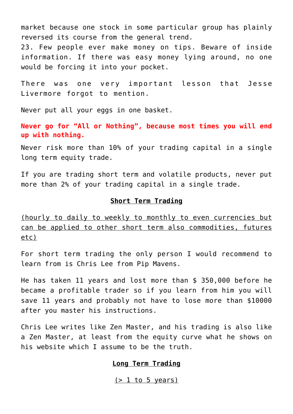market because one stock in some particular group has plainly reversed its course from the general trend. 23. Few people ever make money on tips. Beware of inside information. If there was easy money lying around, no one would be forcing it into your pocket.

There was one very important lesson that [Jesse](https://en.wikipedia.org/wiki/Jesse_Lauriston_Livermore) [Livermore](https://en.wikipedia.org/wiki/Jesse_Lauriston_Livermore) forgot to mention.

Never put all your eggs in one basket.

**Never go for "All or Nothing", because most times you will end up with nothing.**

Never risk more than 10% of your trading capital in a single long term equity trade.

If you are trading short term and volatile products, never put more than 2% of your trading capital in a single trade.

#### **Short Term Trading**

(hourly to daily to weekly to monthly to even currencies but can be applied to other short term also commodities, futures etc)

For short term trading the only person I would recommend to learn from is Chris Lee from [Pip Mavens.](https://www.pipmavens.com/)

He has taken 11 years and lost more than \$ 350,000 before he became a profitable trader so if you learn from him you will save 11 years and probably not have to lose more than \$10000 after you master his instructions.

Chris Lee writes like Zen Master, and his trading is also like a Zen Master, at least from the [equity curve](https://www.myfxbook.com/members/pipmavens/pip-mavens-dr/1646630) what he shows on his website which I assume to be the truth.

#### **Long Term Trading**

 $(> 1$  to 5 years)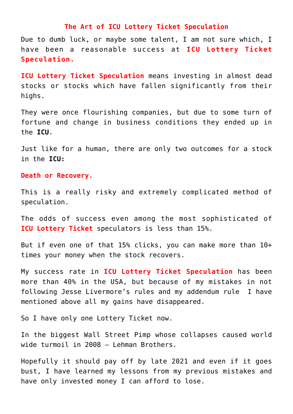#### **The Art of [ICU](http://en.wikipedia.org/wiki/Intensive_care_unit) Lottery Ticket Speculation**

Due to dumb luck, or maybe some talent, I am not sure which, I have been a reasonable success at **[ICU](http://en.wikipedia.org/wiki/Intensive_care_unit) Lottery Ticket Speculation.**

**[ICU](http://en.wikipedia.org/wiki/Intensive_care_unit) Lottery Ticket Speculation** means investing in almost dead stocks or stocks which have fallen significantly from their highs.

They were once flourishing companies, but due to some turn of fortune and change in business conditions they ended up in the **[ICU](http://en.wikipedia.org/wiki/Intensive_care_unit).**

Just like for a human, there are only two outcomes for a stock in the **[ICU:](http://en.wikipedia.org/wiki/Intensive_care_unit)**

#### **Death or Recovery.**

This is a really risky and extremely complicated method of speculation.

The odds of success even among the most sophisticated of **[ICU](http://en.wikipedia.org/wiki/Intensive_care_unit) Lottery Ticket** speculators is less than 15%.

But if even one of that 15% clicks, you can make more than 10+ times your money when the stock recovers.

My success rate in **[ICU](http://en.wikipedia.org/wiki/Intensive_care_unit) Lottery Ticket Speculation** has been more than 40% in the USA, but because of my mistakes in not following [Jesse Livermore's](https://en.wikipedia.org/wiki/Jesse_Lauriston_Livermore) rules and my addendum rule I have mentioned above all my gains have disappeared.

So I have only one Lottery Ticket now.

In the biggest Wall Street Pimp whose collapses caused world wide turmoil in 2008 – [Lehman Brothers.](https://en.wikipedia.org/wiki/Lehman_Brothers)

Hopefully it should pay off by late 2021 and even if it goes bust, I have learned my lessons from my previous mistakes and have only invested money I can afford to lose.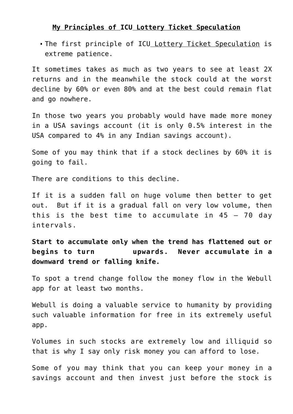## **My Principles of [ICU](http://en.wikipedia.org/wiki/Intensive_care_unit) Lottery Ticket Speculation**

The first principle of [ICU](http://en.wikipedia.org/wiki/Intensive_care_unit) Lottery Ticket Speculation is extreme patience.

It sometimes takes as much as two years to see at least 2X returns and in the meanwhile the stock could at the worst decline by 60% or even 80% and at the best could remain flat and go nowhere.

In those two years you probably would have made more money in a USA savings account (it is only 0.5% interest in the USA compared to 4% in any Indian savings account).

Some of you may think that if a stock declines by 60% it is going to fail.

There are conditions to this decline.

If it is a sudden fall on huge volume then better to get out. But if it is a gradual fall on very low volume, then this is the best time to accumulate in  $45 - 70$  day intervals.

**Start to accumulate only when the trend has flattened out or begins to turn upwards. Never accumulate in a downward trend or falling knife.**

To spot a trend change follow the money flow in the [Webull](https://www.webull.com/introduce) [app](https://www.webull.com/introduce) for at least two months.

[Webull](https://www.webull.com/introduce) is doing a valuable service to humanity by providing such valuable information for free in its extremely useful app.

Volumes in such stocks are extremely low and illiquid so that is why I say only risk money you can afford to lose.

Some of you may think that you can keep your money in a savings account and then invest just before the stock is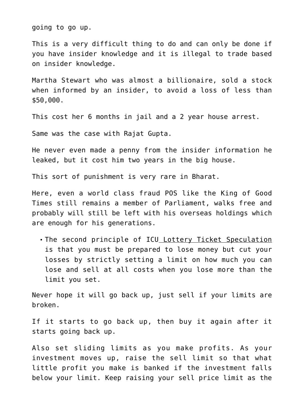going to go up.

This is a very difficult thing to do and can only be done if you have insider knowledge and it is illegal to trade based on insider knowledge.

[Martha Stewart](https://en.wikipedia.org/wiki/Martha_Stewart) who was almost a billionaire, sold a stock when informed by an insider, to avoid a loss of less than \$50,000.

This cost her 6 months in jail and a 2 year house arrest.

Same was the case with [Rajat Gupta](https://en.wikipedia.org/wiki/Rajat_Gupta).

He never even made a penny from the insider information he leaked, but it cost him two years in the [big house](https://www.merriam-webster.com/dictionary/big%20house).

This sort of punishment is very rare in [Bharat.](http://aryadharma.world/bharat/)

Here, even a world class fraud POS like the [King of Good](https://en.wikipedia.org/wiki/Vijay_Mallya) [Times](https://en.wikipedia.org/wiki/Vijay_Mallya) still remains a member of Parliament, walks free and probably will still be left with his overseas holdings which are enough for his generations.

The second principle of [ICU](http://en.wikipedia.org/wiki/Intensive_care_unit) Lottery Ticket Speculation is that you must be prepared to lose money but cut your losses by strictly setting a limit on how much you can lose and sell at all costs when you lose more than the limit you set.

Never hope it will go back up, just sell if your limits are broken.

If it starts to go back up, then buy it again after it starts going back up.

Also set sliding limits as you make profits. As your investment moves up, raise the sell limit so that what little profit you make is banked if the investment falls below your limit. Keep raising your sell price limit as the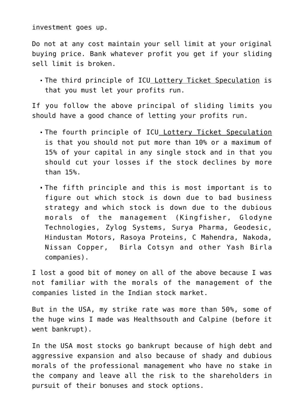investment goes up.

Do not at any cost maintain your sell limit at your original buying price. Bank whatever profit you get if your sliding sell limit is broken.

The third principle of [ICU](http://en.wikipedia.org/wiki/Intensive_care_unit) Lottery Ticket Speculation is that you must let your profits run.

If you follow the above principal of sliding limits you should have a good chance of letting your profits run.

- . The fourth principle of [ICU](http://en.wikipedia.org/wiki/Intensive_care_unit) Lottery Ticket Speculation is that you should not put more than 10% or a maximum of 15% of your capital in any single stock and in that you should cut your losses if the stock declines by more than 15%.
- The fifth principle and this is most important is to figure out which stock is down due to bad business strategy and which stock is down due to the dubious morals of the management (Kingfisher, Glodyne Technologies, Zylog Systems, Surya Pharma, Geodesic, Hindustan Motors, Rasoya Proteins, C Mahendra, Nakoda, Nissan Copper, Birla Cotsyn and other Yash Birla companies).

I lost a good bit of money on all of the above because I was not familiar with the morals of the management of the companies listed in the Indian stock market.

But in the USA, my strike rate was more than 50%, some of the huge wins I made was Healthsouth and Calpine (before it went bankrupt).

In the USA most stocks go bankrupt because of high debt and aggressive expansion and also because of shady and dubious morals of the professional management who have no stake in the company and leave all the risk to the shareholders in pursuit of their bonuses and stock options.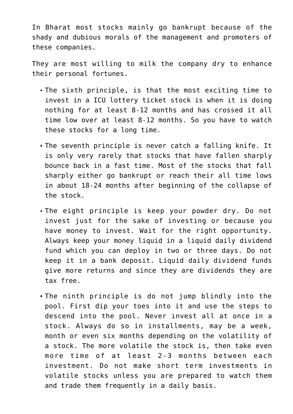In [Bharat](http://aryadharma.world/bharat/) most stocks mainly go bankrupt because of the shady and dubious morals of the management and promoters of these companies.

They are most willing to milk the company dry to enhance their personal fortunes.

- The sixth principle, is that the most exciting time to invest in a ICU lottery ticket stock is when it is doing nothing for at least 8-12 months and has crossed it all time low over at least 8-12 months. So you have to watch these stocks for a long time.
- The seventh principle is never catch a falling knife. It is only very rarely that stocks that have fallen sharply bounce back in a fast time. Most of the stocks that fall sharply either go bankrupt or reach their all time lows in about 18-24 months after beginning of the collapse of the stock.
- The eight principle is keep your powder dry. Do not invest just for the sake of investing or because you have money to invest. Wait for the right opportunity. Always keep your money liquid in a liquid daily dividend fund which you can deploy in two or three days. Do not keep it in a bank deposit. Liquid daily dividend funds give more returns and since they are dividends they are tax free.
- The ninth principle is do not jump blindly into the pool. First dip your toes into it and use the steps to descend into the pool. Never invest all at once in a stock. Always do so in installments, may be a week, month or even six months depending on the volatility of a stock. The more volatile the stock is, then take even more time of at least 2-3 months between each investment. Do not make short term investments in volatile stocks unless you are prepared to watch them and trade them frequently in a daily basis.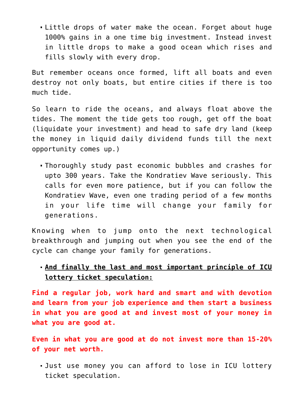Little drops of water make the ocean. Forget about huge 1000% gains in a one time big investment. Instead invest in little drops to make a good ocean which rises and fills slowly with every drop.

But remember oceans once formed, lift all boats and even destroy not only boats, but entire cities if there is too much tide.

So learn to ride the oceans, and always float above the tides. The moment the tide gets too rough, get off the boat (liquidate your investment) and head to safe dry land (keep the money in liquid daily dividend funds till the next opportunity comes up.)

Thoroughly study past economic bubbles and crashes for upto 300 years. Take the [Kondratiev Wave](http://en.wikipedia.org/wiki/Kondratiev_wave) seriously. This calls for even more patience, but if you can follow the Kondratiev Wave, even one trading period of a few months in your life time will change your family for generations.

Knowing when to jump onto the next technological breakthrough and jumping out when you see the end of the cycle can change your family for generations.

**And finally the last and most important principle of ICU lottery ticket speculation:**

**Find a regular job, work hard and smart and with devotion and learn from your job experience and then start a business in what you are good at and invest most of your money in what you are good at.** 

**Even in what you are good at do not invest more than 15-20% of your net worth.**

Just use money you can afford to lose in ICU lottery ticket speculation.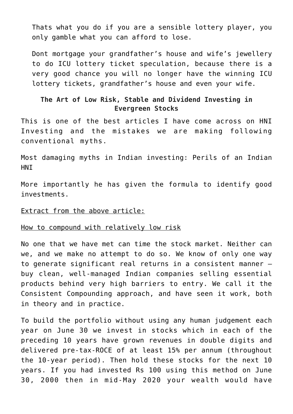Thats what you do if you are a sensible lottery player, you only gamble what you can afford to lose.

Dont mortgage your grandfather's house and wife's jewellery to do ICU lottery ticket speculation, because there is a very good chance you will no longer have the winning ICU lottery tickets, grandfather's house and even your wife.

## **The Art of Low Risk, Stable and Dividend Investing in Evergreen Stocks**

This is one of the best articles I have come across on HNI Investing and the mistakes we are making following conventional myths.

[Most damaging myths in Indian investing: Perils of an Indian](https://economictimes.indiatimes.com/markets/stocks/news/most-damaging-myths-in-indian-investing-perils-of-an-indian-hni/articleshow/76522616.cms) **HNT** 

More importantly he has given the formula to identify good investments.

## Extract from the above article:

## How to compound with relatively low risk

No one that we have met can time the stock market. Neither can we, and we make no attempt to do so. We know of only one way to generate significant real returns in a consistent manner – buy clean, well-managed Indian companies selling essential products behind very high barriers to entry. We call it the Consistent Compounding approach, and have seen it work, both in theory and in practice.

To build the portfolio without using any human judgement each year on June 30 we invest in stocks which in each of the preceding 10 years have grown revenues in double digits and delivered pre-tax-ROCE of at least 15% per annum (throughout the 10-year period). Then hold these stocks for the next 10 years. If you had invested Rs 100 using this method on June 30, 2000 then in mid-May 2020 your wealth would have